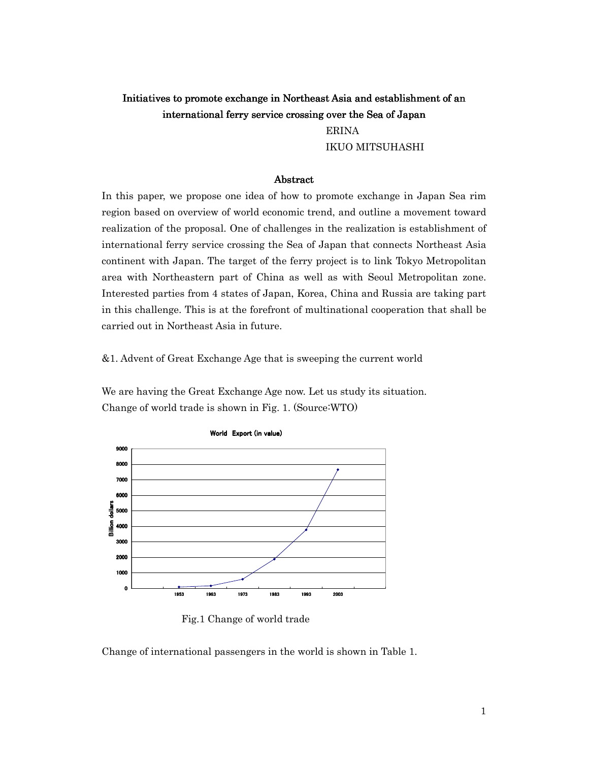# Initiatives to promote exchange in Northeast Asia and establishment of an international ferry service crossing over the Sea of Japan

 ERINA IKUO MITSUHASHI

## Abstract

In this paper, we propose one idea of how to promote exchange in Japan Sea rim region based on overview of world economic trend, and outline a movement toward realization of the proposal. One of challenges in the realization is establishment of international ferry service crossing the Sea of Japan that connects Northeast Asia continent with Japan. The target of the ferry project is to link Tokyo Metropolitan area with Northeastern part of China as well as with Seoul Metropolitan zone. Interested parties from 4 states of Japan, Korea, China and Russia are taking part in this challenge. This is at the forefront of multinational cooperation that shall be carried out in Northeast Asia in future.

&1. Advent of Great Exchange Age that is sweeping the current world

We are having the Great Exchange Age now. Let us study its situation. Change of world trade is shown in Fig. 1. (Source:WTO)



Fig.1 Change of world trade

Change of international passengers in the world is shown in Table 1.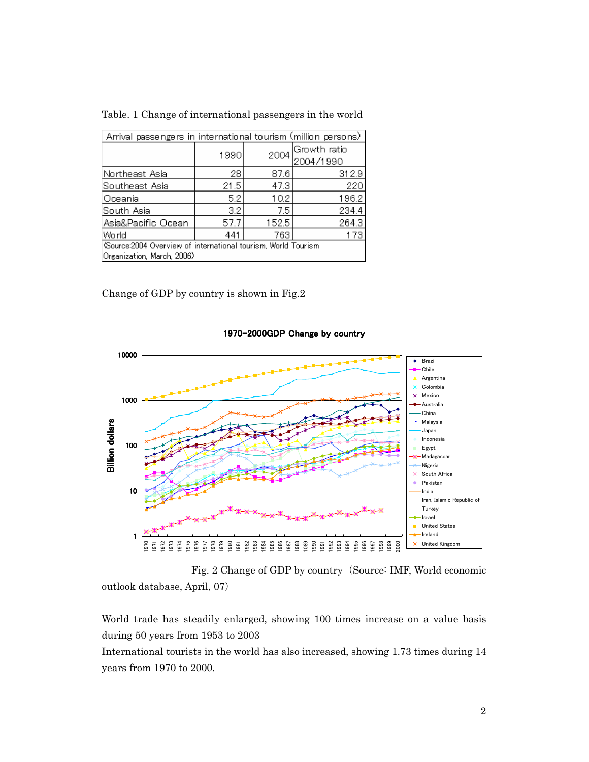| Arrival passengers in international tourism (million persons)                                |                  |       |                           |  |  |  |  |
|----------------------------------------------------------------------------------------------|------------------|-------|---------------------------|--|--|--|--|
|                                                                                              | 1990             | 2004  | Growth ratio<br>2004/1990 |  |  |  |  |
| Northeast Asia                                                                               | 28               | 87.6  | 312.9                     |  |  |  |  |
| Southeast Asia                                                                               | 21.5             | 47.3  | 220                       |  |  |  |  |
| Oceania                                                                                      | 5.2              | 10.2  | 196.2                     |  |  |  |  |
| South Asia                                                                                   | $3.2\phantom{0}$ | 7.5   | 234.4                     |  |  |  |  |
| Asia&Pacific Ocean                                                                           | 57.7             | 152.5 | 264.3                     |  |  |  |  |
| World                                                                                        | 441              | 763   | 173                       |  |  |  |  |
| (Source:2004 Overview of international tourism, World Tourism<br>Organization, March, 2006). |                  |       |                           |  |  |  |  |

Table. 1 Change of international passengers in the world

Change of GDP by country is shown in Fig.2



1970-2000GDP Change by country

Fig. 2 Change of GDP by country (Source: IMF, World economic outlook database, April, 07)

World trade has steadily enlarged, showing 100 times increase on a value basis during 50 years from 1953 to 2003

International tourists in the world has also increased, showing 1.73 times during 14 years from 1970 to 2000.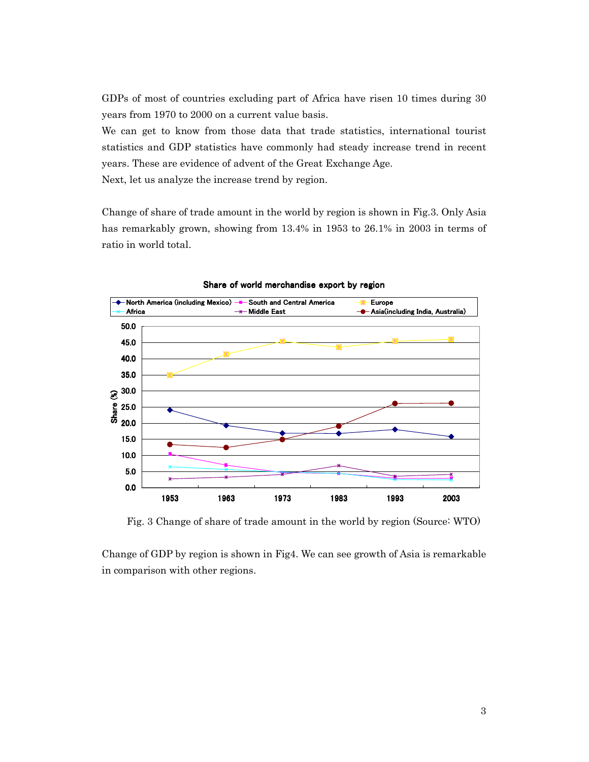GDPs of most of countries excluding part of Africa have risen 10 times during 30 years from 1970 to 2000 on a current value basis.

We can get to know from those data that trade statistics, international tourist statistics and GDP statistics have commonly had steady increase trend in recent years. These are evidence of advent of the Great Exchange Age.

Next, let us analyze the increase trend by region.

Change of share of trade amount in the world by region is shown in Fig.3. Only Asia has remarkably grown, showing from 13.4% in 1953 to 26.1% in 2003 in terms of ratio in world total.



Share of world merchandise export by region

Fig. 3 Change of share of trade amount in the world by region (Source: WTO)

Change of GDP by region is shown in Fig4. We can see growth of Asia is remarkable in comparison with other regions.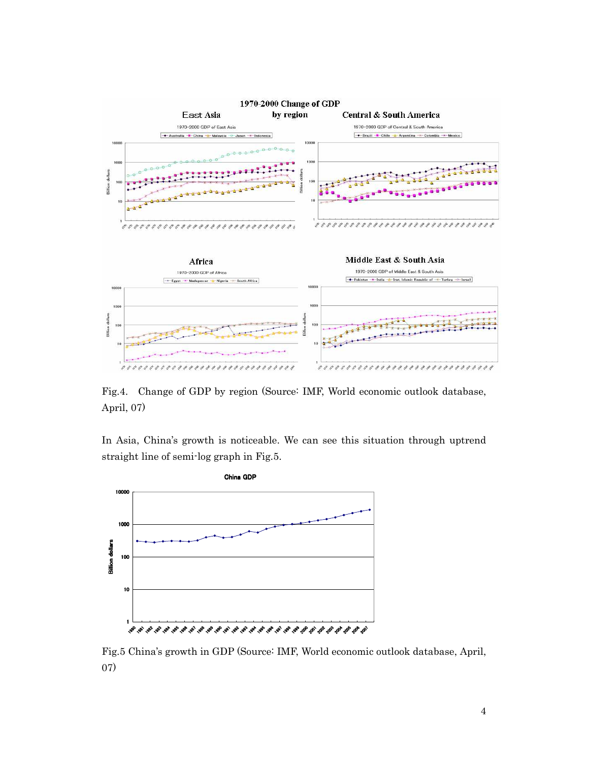

Fig.4. Change of GDP by region (Source: IMF, World economic outlook database, April, 07)

In Asia, China's growth is noticeable. We can see this situation through uptrend straight line of semi-log graph in Fig.5.



Fig.5 China's growth in GDP (Source: IMF, World economic outlook database, April, 07)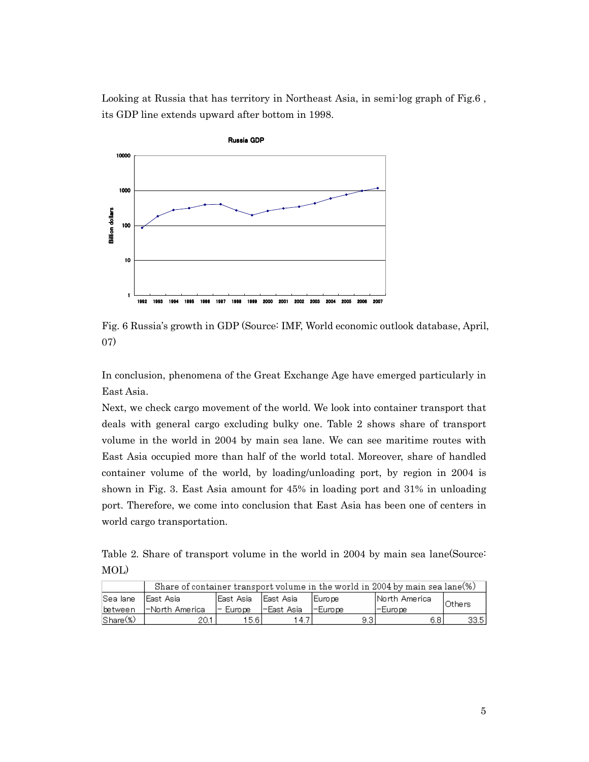Looking at Russia that has territory in Northeast Asia, in semi-log graph of Fig.6 , its GDP line extends upward after bottom in 1998.



Fig. 6 Russia's growth in GDP (Source: IMF, World economic outlook database, April, 07)

In conclusion, phenomena of the Great Exchange Age have emerged particularly in East Asia.

Next, we check cargo movement of the world. We look into container transport that deals with general cargo excluding bulky one. Table 2 shows share of transport volume in the world in 2004 by main sea lane. We can see maritime routes with East Asia occupied more than half of the world total. Moreover, share of handled container volume of the world, by loading/unloading port, by region in 2004 is shown in Fig. 3. East Asia amount for 45% in loading port and 31% in unloading port. Therefore, we come into conclusion that East Asia has been one of centers in world cargo transportation.

Table 2. Share of transport volume in the world in 2004 by main sea lane(Source: MOL)

|                               | Share of container transport volume in the world in 2004 by main sea lane $(\%)$ |            |              |           |            |        |  |  |  |
|-------------------------------|----------------------------------------------------------------------------------|------------|--------------|-----------|------------|--------|--|--|--|
| Sea lane                      | lEast Asia<br>lEast Asia<br>lNorth America<br><b>IEurope</b><br>lEast Asia.      |            | Others       |           |            |        |  |  |  |
| lbetween.                     | l-North Americal                                                                 | l- Europei | I-East Asia. | l-Europei | l−Euro pel |        |  |  |  |
| $\mathsf{Shane}(\mathcal{C})$ |                                                                                  | 15.61      | -4           | 9.31      | 6.8        | 33.5 I |  |  |  |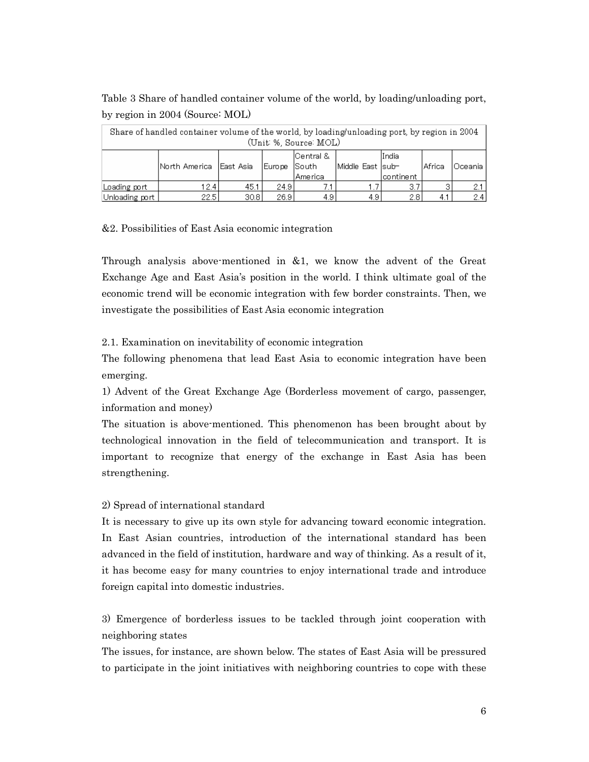Table 3 Share of handled container volume of the world, by loading/unloading port, by region in 2004 (Source: MOL)

| Share of handled container volume of the world, by loading/unloading port, by region in 2004<br>(Unit %, Source: MOL) |                                                                                                                    |       |       |     |      |     |         |            |  |
|-----------------------------------------------------------------------------------------------------------------------|--------------------------------------------------------------------------------------------------------------------|-------|-------|-----|------|-----|---------|------------|--|
|                                                                                                                       | Central &<br>lIndia<br>Middle East  sub-<br> North America<br>lEast Asia<br>Europe South<br>America<br>icontinent. |       |       |     |      |     | lAfrica | lOceania i |  |
| Loading port                                                                                                          | 12.4                                                                                                               | 45.1  | 24.91 |     |      | 3.7 |         | 21         |  |
| Unloading port                                                                                                        | 22.5 l                                                                                                             | 30.8I | 26.9  | 4.9 | 4.91 | 2.8 | 4.1     | 2.4        |  |

# &2. Possibilities of East Asia economic integration

Through analysis above-mentioned in &1, we know the advent of the Great Exchange Age and East Asia's position in the world. I think ultimate goal of the economic trend will be economic integration with few border constraints. Then, we investigate the possibilities of East Asia economic integration

# 2.1. Examination on inevitability of economic integration

The following phenomena that lead East Asia to economic integration have been emerging.

1) Advent of the Great Exchange Age (Borderless movement of cargo, passenger, information and money)

The situation is above-mentioned. This phenomenon has been brought about by technological innovation in the field of telecommunication and transport. It is important to recognize that energy of the exchange in East Asia has been strengthening.

# 2) Spread of international standard

It is necessary to give up its own style for advancing toward economic integration. In East Asian countries, introduction of the international standard has been advanced in the field of institution, hardware and way of thinking. As a result of it, it has become easy for many countries to enjoy international trade and introduce foreign capital into domestic industries.

3) Emergence of borderless issues to be tackled through joint cooperation with neighboring states

The issues, for instance, are shown below. The states of East Asia will be pressured to participate in the joint initiatives with neighboring countries to cope with these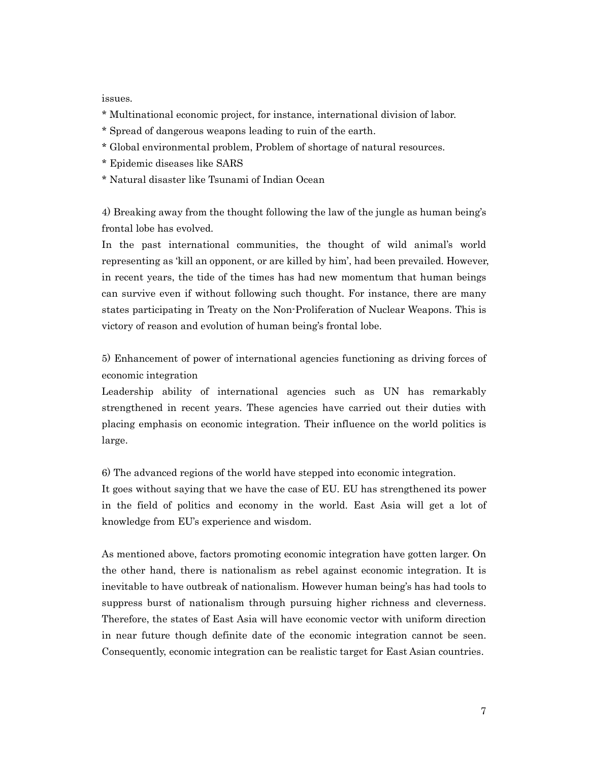issues.

- \* Multinational economic project, for instance, international division of labor.
- \* Spread of dangerous weapons leading to ruin of the earth.
- \* Global environmental problem, Problem of shortage of natural resources.
- \* Epidemic diseases like SARS
- \* Natural disaster like Tsunami of Indian Ocean

4) Breaking away from the thought following the law of the jungle as human being's frontal lobe has evolved.

In the past international communities, the thought of wild animal's world representing as 'kill an opponent, or are killed by him', had been prevailed. However, in recent years, the tide of the times has had new momentum that human beings can survive even if without following such thought. For instance, there are many states participating in Treaty on the Non-Proliferation of Nuclear Weapons. This is victory of reason and evolution of human being's frontal lobe.

5) Enhancement of power of international agencies functioning as driving forces of economic integration

Leadership ability of international agencies such as UN has remarkably strengthened in recent years. These agencies have carried out their duties with placing emphasis on economic integration. Their influence on the world politics is large.

6) The advanced regions of the world have stepped into economic integration.

It goes without saying that we have the case of EU. EU has strengthened its power in the field of politics and economy in the world. East Asia will get a lot of knowledge from EU's experience and wisdom.

As mentioned above, factors promoting economic integration have gotten larger. On the other hand, there is nationalism as rebel against economic integration. It is inevitable to have outbreak of nationalism. However human being's has had tools to suppress burst of nationalism through pursuing higher richness and cleverness. Therefore, the states of East Asia will have economic vector with uniform direction in near future though definite date of the economic integration cannot be seen. Consequently, economic integration can be realistic target for East Asian countries.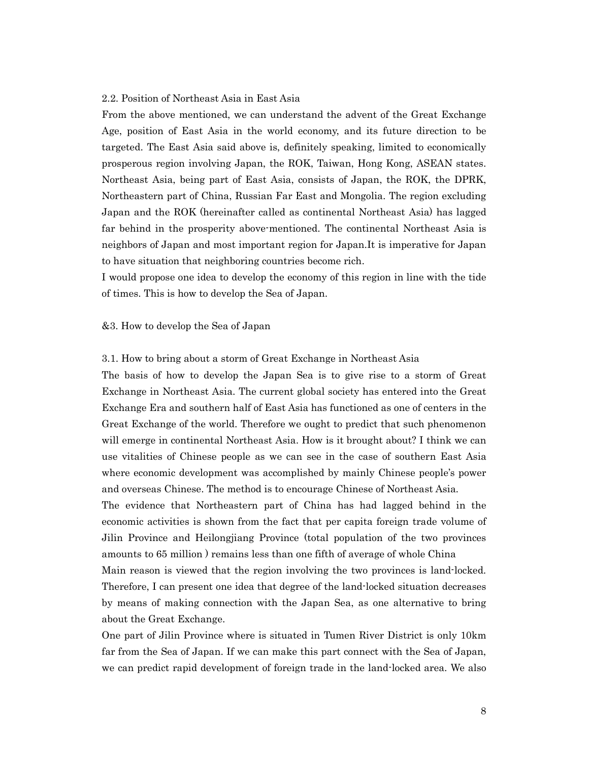#### 2.2. Position of Northeast Asia in East Asia

From the above mentioned, we can understand the advent of the Great Exchange Age, position of East Asia in the world economy, and its future direction to be targeted. The East Asia said above is, definitely speaking, limited to economically prosperous region involving Japan, the ROK, Taiwan, Hong Kong, ASEAN states. Northeast Asia, being part of East Asia, consists of Japan, the ROK, the DPRK, Northeastern part of China, Russian Far East and Mongolia. The region excluding Japan and the ROK (hereinafter called as continental Northeast Asia) has lagged far behind in the prosperity above-mentioned. The continental Northeast Asia is neighbors of Japan and most important region for Japan.It is imperative for Japan to have situation that neighboring countries become rich.

I would propose one idea to develop the economy of this region in line with the tide of times. This is how to develop the Sea of Japan.

## &3. How to develop the Sea of Japan

## 3.1. How to bring about a storm of Great Exchange in Northeast Asia

The basis of how to develop the Japan Sea is to give rise to a storm of Great Exchange in Northeast Asia. The current global society has entered into the Great Exchange Era and southern half of East Asia has functioned as one of centers in the Great Exchange of the world. Therefore we ought to predict that such phenomenon will emerge in continental Northeast Asia. How is it brought about? I think we can use vitalities of Chinese people as we can see in the case of southern East Asia where economic development was accomplished by mainly Chinese people's power and overseas Chinese. The method is to encourage Chinese of Northeast Asia.

The evidence that Northeastern part of China has had lagged behind in the economic activities is shown from the fact that per capita foreign trade volume of Jilin Province and Heilongjiang Province (total population of the two provinces amounts to 65 million ) remains less than one fifth of average of whole China

Main reason is viewed that the region involving the two provinces is land-locked. Therefore, I can present one idea that degree of the land-locked situation decreases by means of making connection with the Japan Sea, as one alternative to bring about the Great Exchange.

One part of Jilin Province where is situated in Tumen River District is only 10km far from the Sea of Japan. If we can make this part connect with the Sea of Japan, we can predict rapid development of foreign trade in the land-locked area. We also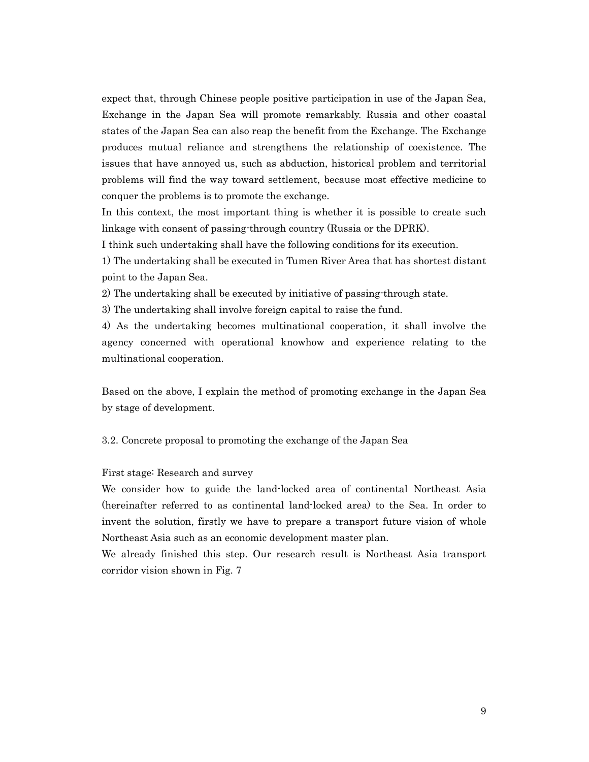expect that, through Chinese people positive participation in use of the Japan Sea, Exchange in the Japan Sea will promote remarkably. Russia and other coastal states of the Japan Sea can also reap the benefit from the Exchange. The Exchange produces mutual reliance and strengthens the relationship of coexistence. The issues that have annoyed us, such as abduction, historical problem and territorial problems will find the way toward settlement, because most effective medicine to conquer the problems is to promote the exchange.

In this context, the most important thing is whether it is possible to create such linkage with consent of passing-through country (Russia or the DPRK).

I think such undertaking shall have the following conditions for its execution.

1) The undertaking shall be executed in Tumen River Area that has shortest distant point to the Japan Sea.

2) The undertaking shall be executed by initiative of passing-through state.

3) The undertaking shall involve foreign capital to raise the fund.

4) As the undertaking becomes multinational cooperation, it shall involve the agency concerned with operational knowhow and experience relating to the multinational cooperation.

Based on the above, I explain the method of promoting exchange in the Japan Sea by stage of development.

3.2. Concrete proposal to promoting the exchange of the Japan Sea

First stage: Research and survey

We consider how to guide the land-locked area of continental Northeast Asia (hereinafter referred to as continental land-locked area) to the Sea. In order to invent the solution, firstly we have to prepare a transport future vision of whole Northeast Asia such as an economic development master plan.

We already finished this step. Our research result is Northeast Asia transport corridor vision shown in Fig. 7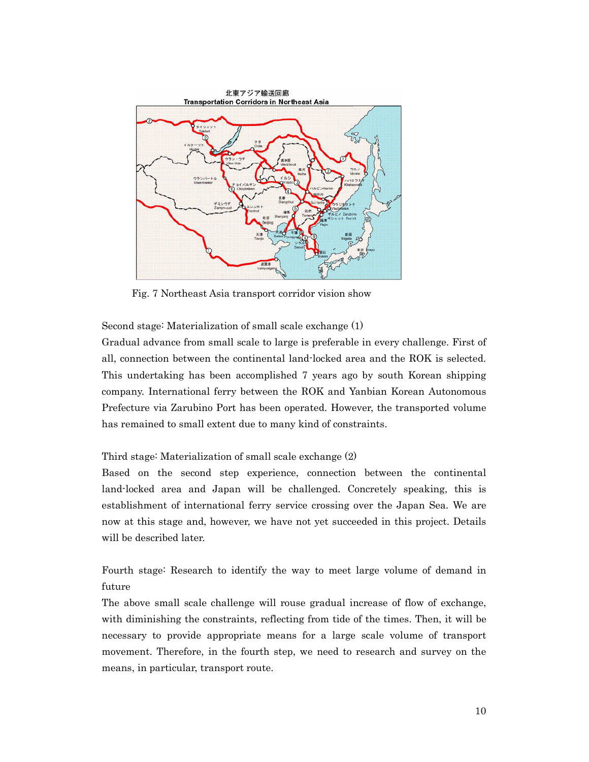

Fig. 7 Northeast Asia transport corridor vision show

Second stage: Materialization of small scale exchange (1)

Gradual advance from small scale to large is preferable in every challenge. First of all, connection between the continental land-locked area and the ROK is selected. This undertaking has been accomplished 7 years ago by south Korean shipping company. International ferry between the ROK and Yanbian Korean Autonomous Prefecture via Zarubino Port has been operated. However, the transported volume has remained to small extent due to many kind of constraints.

#### Third stage: Materialization of small scale exchange (2)

Based on the second step experience, connection between the continental land-locked area and Japan will be challenged. Concretely speaking, this is establishment of international ferry service crossing over the Japan Sea. We are now at this stage and, however, we have not yet succeeded in this project. Details will be described later.

Fourth stage: Research to identify the way to meet large volume of demand in future

The above small scale challenge will rouse gradual increase of flow of exchange, with diminishing the constraints, reflecting from tide of the times. Then, it will be necessary to provide appropriate means for a large scale volume of transport movement. Therefore, in the fourth step, we need to research and survey on the means, in particular, transport route.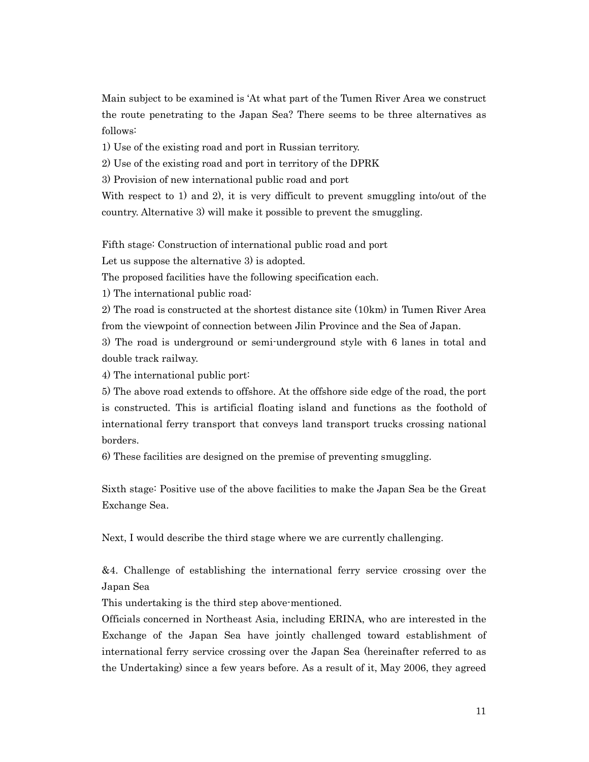Main subject to be examined is 'At what part of the Tumen River Area we construct the route penetrating to the Japan Sea? There seems to be three alternatives as follows:

1) Use of the existing road and port in Russian territory.

2) Use of the existing road and port in territory of the DPRK

3) Provision of new international public road and port

With respect to 1) and 2), it is very difficult to prevent smuggling into/out of the country. Alternative 3) will make it possible to prevent the smuggling.

Fifth stage: Construction of international public road and port

Let us suppose the alternative 3) is adopted.

The proposed facilities have the following specification each.

1) The international public road:

2) The road is constructed at the shortest distance site (10km) in Tumen River Area from the viewpoint of connection between Jilin Province and the Sea of Japan.

3) The road is underground or semi-underground style with 6 lanes in total and double track railway.

4) The international public port:

5) The above road extends to offshore. At the offshore side edge of the road, the port is constructed. This is artificial floating island and functions as the foothold of international ferry transport that conveys land transport trucks crossing national borders.

6) These facilities are designed on the premise of preventing smuggling.

Sixth stage: Positive use of the above facilities to make the Japan Sea be the Great Exchange Sea.

Next, I would describe the third stage where we are currently challenging.

&4. Challenge of establishing the international ferry service crossing over the Japan Sea

This undertaking is the third step above-mentioned.

Officials concerned in Northeast Asia, including ERINA, who are interested in the Exchange of the Japan Sea have jointly challenged toward establishment of international ferry service crossing over the Japan Sea (hereinafter referred to as the Undertaking) since a few years before. As a result of it, May 2006, they agreed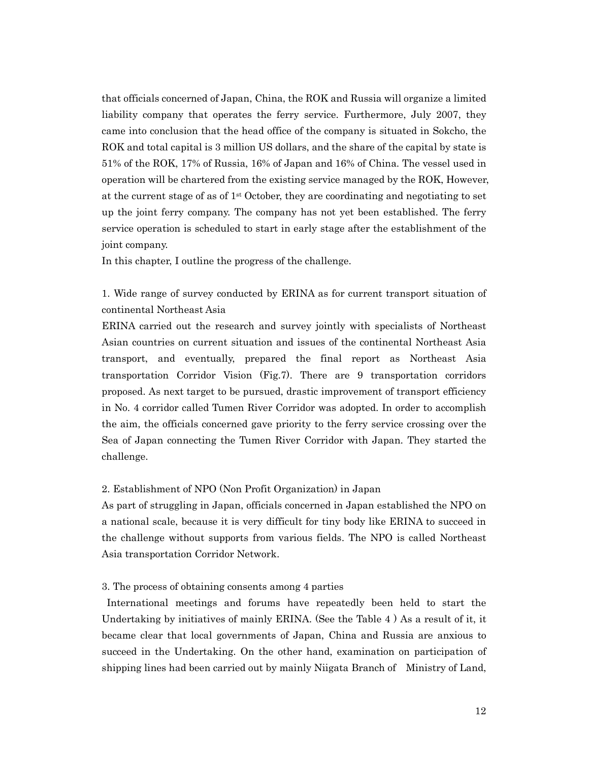that officials concerned of Japan, China, the ROK and Russia will organize a limited liability company that operates the ferry service. Furthermore, July 2007, they came into conclusion that the head office of the company is situated in Sokcho, the ROK and total capital is 3 million US dollars, and the share of the capital by state is 51% of the ROK, 17% of Russia, 16% of Japan and 16% of China. The vessel used in operation will be chartered from the existing service managed by the ROK, However, at the current stage of as of  $1<sup>st</sup>$  October, they are coordinating and negotiating to set up the joint ferry company. The company has not yet been established. The ferry service operation is scheduled to start in early stage after the establishment of the joint company.

In this chapter, I outline the progress of the challenge.

1. Wide range of survey conducted by ERINA as for current transport situation of continental Northeast Asia

ERINA carried out the research and survey jointly with specialists of Northeast Asian countries on current situation and issues of the continental Northeast Asia transport, and eventually, prepared the final report as Northeast Asia transportation Corridor Vision (Fig.7). There are 9 transportation corridors proposed. As next target to be pursued, drastic improvement of transport efficiency in No. 4 corridor called Tumen River Corridor was adopted. In order to accomplish the aim, the officials concerned gave priority to the ferry service crossing over the Sea of Japan connecting the Tumen River Corridor with Japan. They started the challenge.

#### 2. Establishment of NPO (Non Profit Organization) in Japan

As part of struggling in Japan, officials concerned in Japan established the NPO on a national scale, because it is very difficult for tiny body like ERINA to succeed in the challenge without supports from various fields. The NPO is called Northeast Asia transportation Corridor Network.

## 3. The process of obtaining consents among 4 parties

 International meetings and forums have repeatedly been held to start the Undertaking by initiatives of mainly ERINA. (See the Table 4 ) As a result of it, it became clear that local governments of Japan, China and Russia are anxious to succeed in the Undertaking. On the other hand, examination on participation of shipping lines had been carried out by mainly Niigata Branch of Ministry of Land,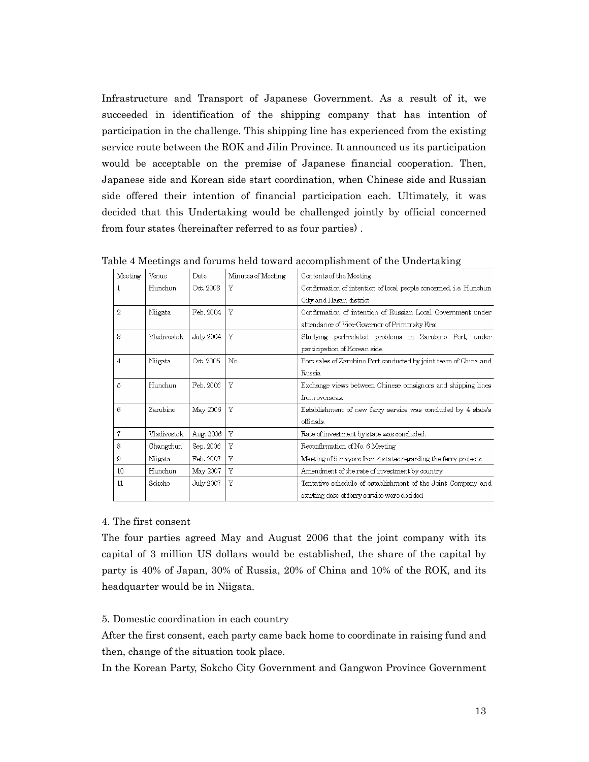Infrastructure and Transport of Japanese Government. As a result of it, we succeeded in identification of the shipping company that has intention of participation in the challenge. This shipping line has experienced from the existing service route between the ROK and Jilin Province. It announced us its participation would be acceptable on the premise of Japanese financial cooperation. Then, Japanese side and Korean side start coordination, when Chinese side and Russian side offered their intention of financial participation each. Ultimately, it was decided that this Undertaking would be challenged jointly by official concerned from four states (hereinafter referred to as four parties) .

| Meeting | Venue       | Date      | Minutes of Meeting | Contents of the Meeting                                           |  |  |
|---------|-------------|-----------|--------------------|-------------------------------------------------------------------|--|--|
| 1       | Hunchun     | Oct. 2003 | Y                  | Confirmation of intention of local people concerned, i.e. Hunchun |  |  |
|         |             |           |                    | City and Hasan district                                           |  |  |
| 2       | Niigata     | Feb. 2004 | Y                  | Confirmation of intention of Russian Local Government under       |  |  |
|         |             |           |                    | attendance of Vice-Governor of Primorsky Krai                     |  |  |
| 3       | Vladivostok | July 2004 | $\overline{Y}$     | Studying portrelated problems in Zarubino Port, under             |  |  |
|         |             |           |                    | participation of Korean side                                      |  |  |
| 4       | Niigata     | Oct. 2005 | No                 | Port sales of Zarubino Port conducted by joint team of China and  |  |  |
|         |             |           |                    | Russia                                                            |  |  |
| 5       | Hunchun     | Feb. 2006 | Y                  | Exchange views between Chinese consignors and shipping lines      |  |  |
|         |             |           |                    | from overseas.                                                    |  |  |
| 6.      | Zarubino    | May 2006  | Y                  | Establishment of new ferry service was conduded by 4 state's      |  |  |
|         |             |           |                    | officials.                                                        |  |  |
| 7       | Vladivostok | Aug. 2006 | Y                  | Rate of investment by state was conduded.                         |  |  |
| 8       | Changchun   | Sep. 2006 | Y                  | Reconfirmation of No. 6 Meeting                                   |  |  |
| 9       | Niigata     | Feb. 2007 | Y                  | Meeting of 5 mayors from 4 states regarding the ferry projects    |  |  |
| 10      | Hunchun     | May 2007  | Y                  | Amendment of the rate of investment by country                    |  |  |
| 11      | Sokcho      | July 2007 | Y                  | Tentative schedule of establishment of the Joint Company and      |  |  |
|         |             |           |                    | starting date of ferry service were decided                       |  |  |

Table 4 Meetings and forums held toward accomplishment of the Undertaking

#### 4. The first consent

The four parties agreed May and August 2006 that the joint company with its capital of 3 million US dollars would be established, the share of the capital by party is 40% of Japan, 30% of Russia, 20% of China and 10% of the ROK, and its headquarter would be in Niigata.

#### 5. Domestic coordination in each country

After the first consent, each party came back home to coordinate in raising fund and then, change of the situation took place.

In the Korean Party, Sokcho City Government and Gangwon Province Government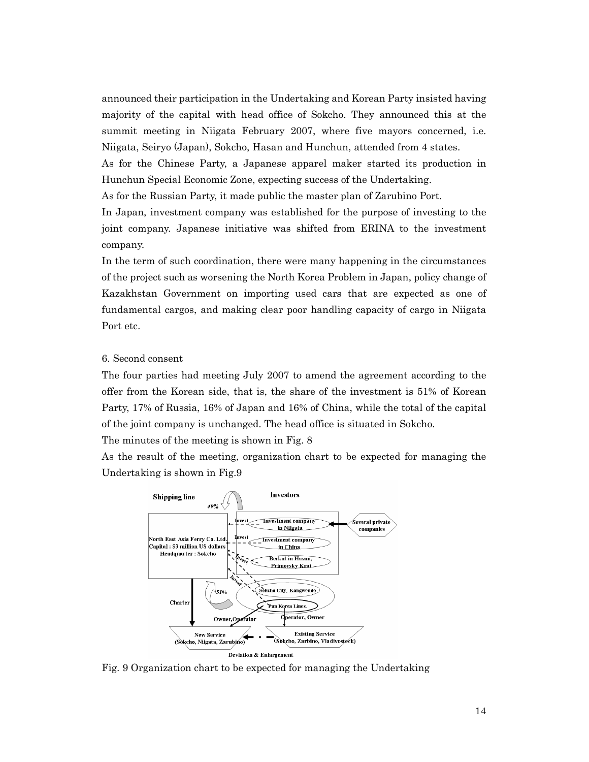announced their participation in the Undertaking and Korean Party insisted having majority of the capital with head office of Sokcho. They announced this at the summit meeting in Niigata February 2007, where five mayors concerned, i.e. Niigata, Seiryo (Japan), Sokcho, Hasan and Hunchun, attended from 4 states.

As for the Chinese Party, a Japanese apparel maker started its production in Hunchun Special Economic Zone, expecting success of the Undertaking.

As for the Russian Party, it made public the master plan of Zarubino Port.

In Japan, investment company was established for the purpose of investing to the joint company. Japanese initiative was shifted from ERINA to the investment company.

In the term of such coordination, there were many happening in the circumstances of the project such as worsening the North Korea Problem in Japan, policy change of Kazakhstan Government on importing used cars that are expected as one of fundamental cargos, and making clear poor handling capacity of cargo in Niigata Port etc.

## 6. Second consent

The four parties had meeting July 2007 to amend the agreement according to the offer from the Korean side, that is, the share of the investment is 51% of Korean Party, 17% of Russia, 16% of Japan and 16% of China, while the total of the capital of the joint company is unchanged. The head office is situated in Sokcho.

The minutes of the meeting is shown in Fig. 8

As the result of the meeting, organization chart to be expected for managing the Undertaking is shown in Fig.9



Fig. 9 Organization chart to be expected for managing the Undertaking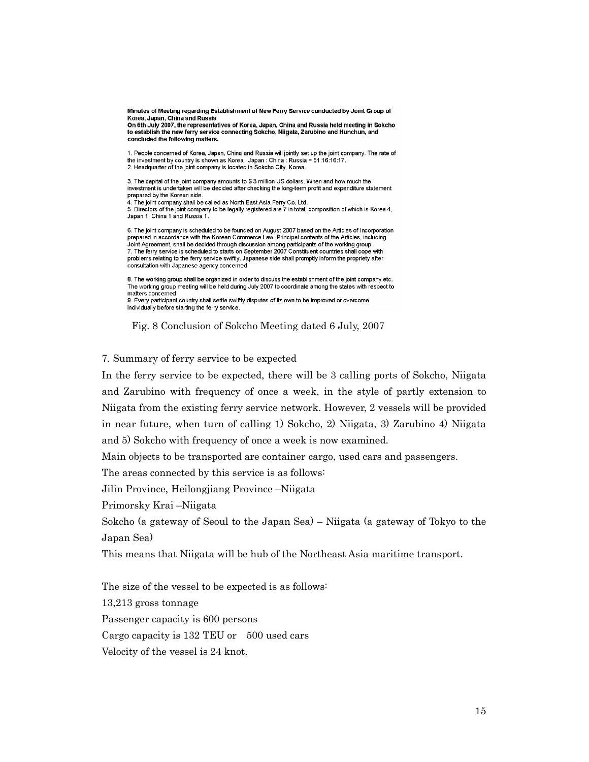Minutes of Meeting regarding Establishment of New Ferry Service conducted by Joint Group of Korea, Japan, China and Russia

On 6th July 2007, the representatives of Korea, Japan, China and Russia held meeting in Sokcho to establish the new ferry service connecting Sokcho, Niigata, Zarubino and Hunchun, and concluded the following matters.

1. People concerned of Korea, Japan, China and Russia will jointly set up the joint company. The rate of the investment by country is shown as Korea : Japan : China : Russia = 51:16:16:17. 2. Headquarter of the joint company is located in Sokcho City, Korea.

3. The capital of the joint company amounts to \$3 million US dollars. When and how much the investment is undertaken will be decided after checking the long-term profit and expenditure statement prepared by the Korean side.

4. The joint company shall be called as North East Asia Ferry Co, Ltd.

5. Directors of the joint company to be legally registered are 7 in total, composition of which is Korea 4, Japan 1. China 1 and Russia 1.

6. The joint company is scheduled to be founded on August 2007 based on the Articles of Incorporation prepared in accordance with the Korean Commerce Law. Principal contents of the Articles, including Joint Agreement, shall be decided through discussion among participants of the working group 7. The ferry service is scheduled to starts on September 2007 Constituent countries shall cope with problems relating to the ferry service swiftly. Japanese side shall promptly inform the propriety after consultation with Japanese agency concerned

8. The working group shall be organized in order to discuss the establishment of the joint company etc. The working group meeting will be held during July 2007 to coordinate among the states with respect to matters concerned.

9. Every participant country shall settle swiftly disputes of its own to be improved or overcome individually before starting the ferry service.

Fig. 8 Conclusion of Sokcho Meeting dated 6 July, 2007

## 7. Summary of ferry service to be expected

In the ferry service to be expected, there will be 3 calling ports of Sokcho, Niigata and Zarubino with frequency of once a week, in the style of partly extension to Niigata from the existing ferry service network. However, 2 vessels will be provided in near future, when turn of calling 1) Sokcho, 2) Niigata, 3) Zarubino 4) Niigata and 5) Sokcho with frequency of once a week is now examined.

Main objects to be transported are container cargo, used cars and passengers.

The areas connected by this service is as follows:

Jilin Province, Heilongjiang Province –Niigata

Primorsky Krai –Niigata

Sokcho (a gateway of Seoul to the Japan Sea) – Niigata (a gateway of Tokyo to the Japan Sea)

This means that Niigata will be hub of the Northeast Asia maritime transport.

The size of the vessel to be expected is as follows:

13,213 gross tonnage

Passenger capacity is 600 persons

Cargo capacity is 132 TEU or 500 used cars

Velocity of the vessel is 24 knot.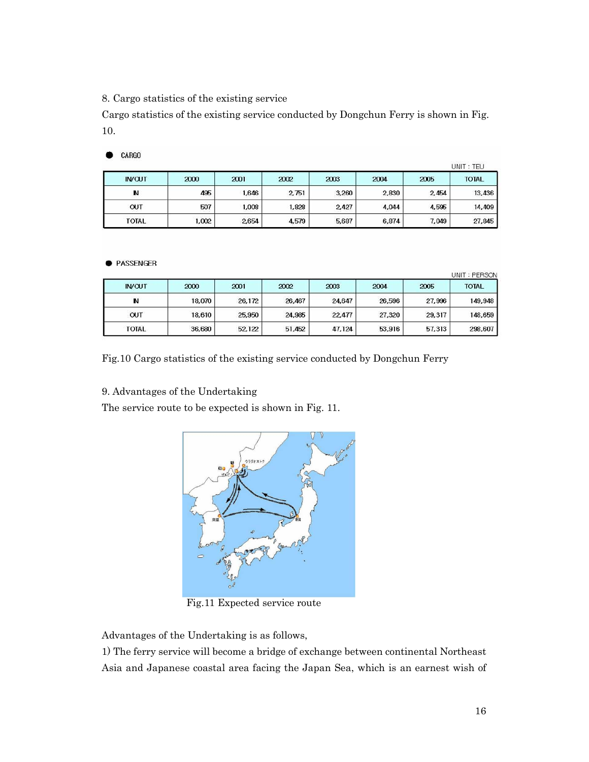8. Cargo statistics of the existing service

Cargo statistics of the existing service conducted by Dongchun Ferry is shown in Fig. 10.

| CARGO |
|-------|
|       |

|               |       | UNIT : TEU |        |       |       |       |              |
|---------------|-------|------------|--------|-------|-------|-------|--------------|
| <b>IN/OUT</b> | 2000  | 2001       | 2002   | 2003  | 2004  | 2005  | <b>TOTAL</b> |
| N             | 495   | 1,646      | 2, 751 | 3,260 | 2,830 | 2,454 | 13,436       |
| <b>OUT</b>    | 507   | 1.008      | 1,828  | 2,427 | 4,044 | 4,595 | 14,409       |
| <b>TOTAL</b>  | 1,002 | 2654       | 4,579  | 5,687 | 6,874 | 7,049 | 27,845       |

#### **• PASSENGER**

| <b>IN/OUT</b> | 2000   | 2001   | 2002   | 2003   | 2004   | 2005   | <b>TOTAL</b> |
|---------------|--------|--------|--------|--------|--------|--------|--------------|
| N             | 18.070 | 26,172 | 26,467 | 24,647 | 26,596 | 27,996 | 149,948      |
| <b>OUT</b>    | 18,610 | 25,950 | 24,985 | 22.477 | 27,320 | 29,317 | 148,659      |
| <b>TOTAL</b>  | 36,680 | 52.122 | 51,452 | 47,124 | 53,916 | 57,313 | 298,607      |

Fig.10 Cargo statistics of the existing service conducted by Dongchun Ferry

# 9. Advantages of the Undertaking

The service route to be expected is shown in Fig. 11.



Fig.11 Expected service route

Advantages of the Undertaking is as follows,

1) The ferry service will become a bridge of exchange between continental Northeast Asia and Japanese coastal area facing the Japan Sea, which is an earnest wish of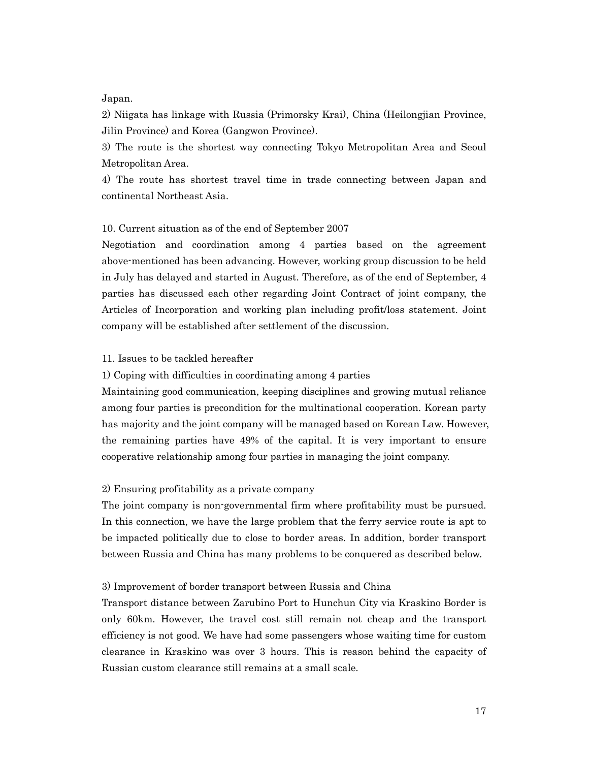Japan.

2) Niigata has linkage with Russia (Primorsky Krai), China (Heilongjian Province, Jilin Province) and Korea (Gangwon Province).

3) The route is the shortest way connecting Tokyo Metropolitan Area and Seoul Metropolitan Area.

4) The route has shortest travel time in trade connecting between Japan and continental Northeast Asia.

## 10. Current situation as of the end of September 2007

Negotiation and coordination among 4 parties based on the agreement above-mentioned has been advancing. However, working group discussion to be held in July has delayed and started in August. Therefore, as of the end of September, 4 parties has discussed each other regarding Joint Contract of joint company, the Articles of Incorporation and working plan including profit/loss statement. Joint company will be established after settlement of the discussion.

## 11. Issues to be tackled hereafter

1) Coping with difficulties in coordinating among 4 parties

Maintaining good communication, keeping disciplines and growing mutual reliance among four parties is precondition for the multinational cooperation. Korean party has majority and the joint company will be managed based on Korean Law. However, the remaining parties have 49% of the capital. It is very important to ensure cooperative relationship among four parties in managing the joint company.

#### 2) Ensuring profitability as a private company

The joint company is non-governmental firm where profitability must be pursued. In this connection, we have the large problem that the ferry service route is apt to be impacted politically due to close to border areas. In addition, border transport between Russia and China has many problems to be conquered as described below.

## 3) Improvement of border transport between Russia and China

Transport distance between Zarubino Port to Hunchun City via Kraskino Border is only 60km. However, the travel cost still remain not cheap and the transport efficiency is not good. We have had some passengers whose waiting time for custom clearance in Kraskino was over 3 hours. This is reason behind the capacity of Russian custom clearance still remains at a small scale.